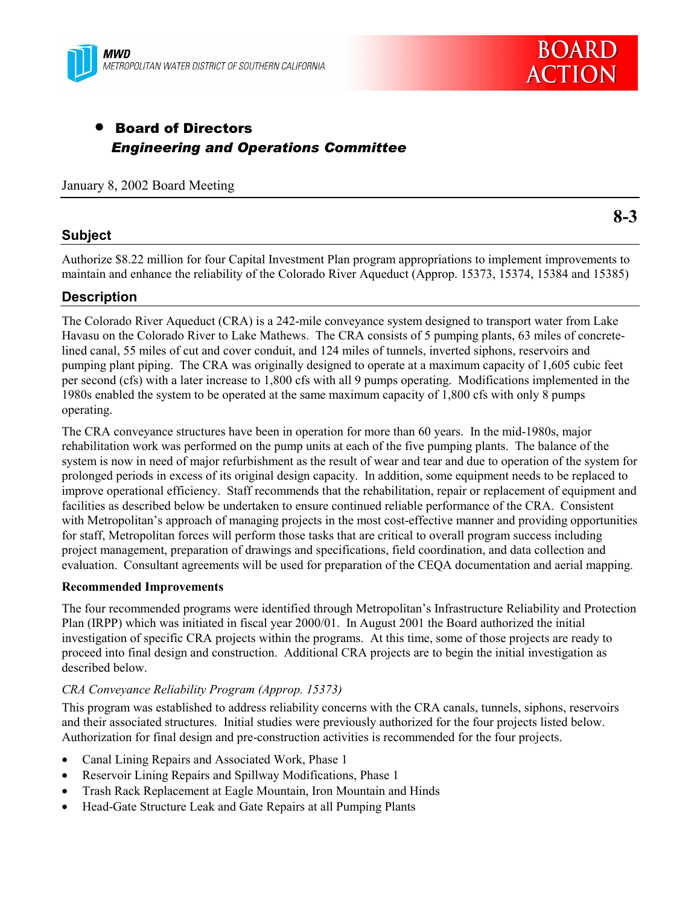



# • Board of Directors *Engineering and Operations Committee*

#### January 8, 2002 Board Meeting

#### **Subject**

**8-3**

Authorize \$8.22 million for four Capital Investment Plan program appropriations to implement improvements to maintain and enhance the reliability of the Colorado River Aqueduct (Approp. 15373, 15374, 15384 and 15385)

#### **Description**

The Colorado River Aqueduct (CRA) is a 242-mile conveyance system designed to transport water from Lake Havasu on the Colorado River to Lake Mathews. The CRA consists of 5 pumping plants, 63 miles of concretelined canal, 55 miles of cut and cover conduit, and 124 miles of tunnels, inverted siphons, reservoirs and pumping plant piping. The CRA was originally designed to operate at a maximum capacity of 1,605 cubic feet per second (cfs) with a later increase to 1,800 cfs with all 9 pumps operating. Modifications implemented in the 1980s enabled the system to be operated at the same maximum capacity of 1,800 cfs with only 8 pumps operating.

The CRA conveyance structures have been in operation for more than 60 years. In the mid-1980s, major rehabilitation work was performed on the pump units at each of the five pumping plants. The balance of the system is now in need of major refurbishment as the result of wear and tear and due to operation of the system for prolonged periods in excess of its original design capacity. In addition, some equipment needs to be replaced to improve operational efficiency. Staff recommends that the rehabilitation, repair or replacement of equipment and facilities as described below be undertaken to ensure continued reliable performance of the CRA. Consistent with Metropolitan's approach of managing projects in the most cost-effective manner and providing opportunities for staff, Metropolitan forces will perform those tasks that are critical to overall program success including project management, preparation of drawings and specifications, field coordination, and data collection and evaluation. Consultant agreements will be used for preparation of the CEQA documentation and aerial mapping.

#### **Recommended Improvements**

The four recommended programs were identified through Metropolitanís Infrastructure Reliability and Protection Plan (IRPP) which was initiated in fiscal year 2000/01. In August 2001 the Board authorized the initial investigation of specific CRA projects within the programs. At this time, some of those projects are ready to proceed into final design and construction. Additional CRA projects are to begin the initial investigation as described below.

#### *CRA Conveyance Reliability Program (Approp. 15373)*

This program was established to address reliability concerns with the CRA canals, tunnels, siphons, reservoirs and their associated structures. Initial studies were previously authorized for the four projects listed below. Authorization for final design and pre-construction activities is recommended for the four projects.

- Canal Lining Repairs and Associated Work, Phase 1
- Reservoir Lining Repairs and Spillway Modifications, Phase 1
- Trash Rack Replacement at Eagle Mountain, Iron Mountain and Hinds
- Head-Gate Structure Leak and Gate Repairs at all Pumping Plants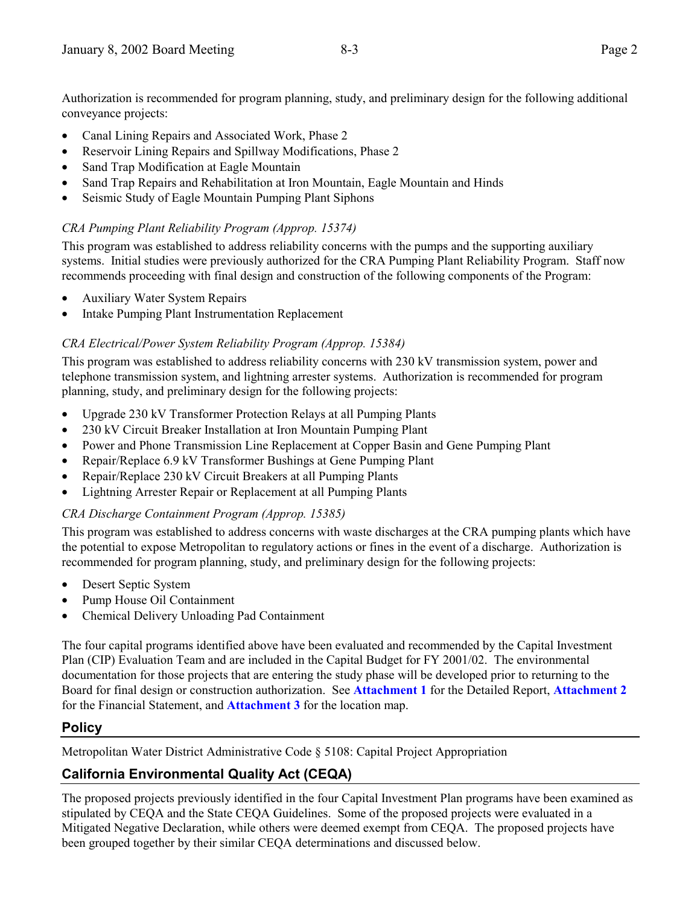Authorization is recommended for program planning, study, and preliminary design for the following additional conveyance projects:

- Canal Lining Repairs and Associated Work, Phase 2
- Reservoir Lining Repairs and Spillway Modifications, Phase 2
- Sand Trap Modification at Eagle Mountain
- Sand Trap Repairs and Rehabilitation at Iron Mountain, Eagle Mountain and Hinds
- Seismic Study of Eagle Mountain Pumping Plant Siphons

### *CRA Pumping Plant Reliability Program (Approp. 15374)*

This program was established to address reliability concerns with the pumps and the supporting auxiliary systems. Initial studies were previously authorized for the CRA Pumping Plant Reliability Program. Staff now recommends proceeding with final design and construction of the following components of the Program:

- Auxiliary Water System Repairs
- Intake Pumping Plant Instrumentation Replacement

## *CRA Electrical/Power System Reliability Program (Approp. 15384)*

This program was established to address reliability concerns with 230 kV transmission system, power and telephone transmission system, and lightning arrester systems. Authorization is recommended for program planning, study, and preliminary design for the following projects:

- Upgrade 230 kV Transformer Protection Relays at all Pumping Plants
- 230 kV Circuit Breaker Installation at Iron Mountain Pumping Plant
- Power and Phone Transmission Line Replacement at Copper Basin and Gene Pumping Plant
- Repair/Replace 6.9 kV Transformer Bushings at Gene Pumping Plant
- Repair/Replace 230 kV Circuit Breakers at all Pumping Plants
- Lightning Arrester Repair or Replacement at all Pumping Plants

### *CRA Discharge Containment Program (Approp. 15385)*

This program was established to address concerns with waste discharges at the CRA pumping plants which have the potential to expose Metropolitan to regulatory actions or fines in the event of a discharge. Authorization is recommended for program planning, study, and preliminary design for the following projects:

- Desert Septic System
- Pump House Oil Containment
- Chemical Delivery Unloading Pad Containment

The four capital programs identified above have been evaluated and recommended by the Capital Investment Plan (CIP) Evaluation Team and are included in the Capital Budget for FY 2001/02. The environmental documentation for those projects that are entering the study phase will be developed prior to returning to the Board for final design or construction authorization. See **Attachment 1** for the Detailed Report, **Attachment 2** for the Financial Statement, and **Attachment 3** for the location map.

## **Policy**

Metropolitan Water District Administrative Code ß 5108: Capital Project Appropriation

# **California Environmental Quality Act (CEQA)**

The proposed projects previously identified in the four Capital Investment Plan programs have been examined as stipulated by CEQA and the State CEQA Guidelines. Some of the proposed projects were evaluated in a Mitigated Negative Declaration, while others were deemed exempt from CEQA. The proposed projects have been grouped together by their similar CEQA determinations and discussed below.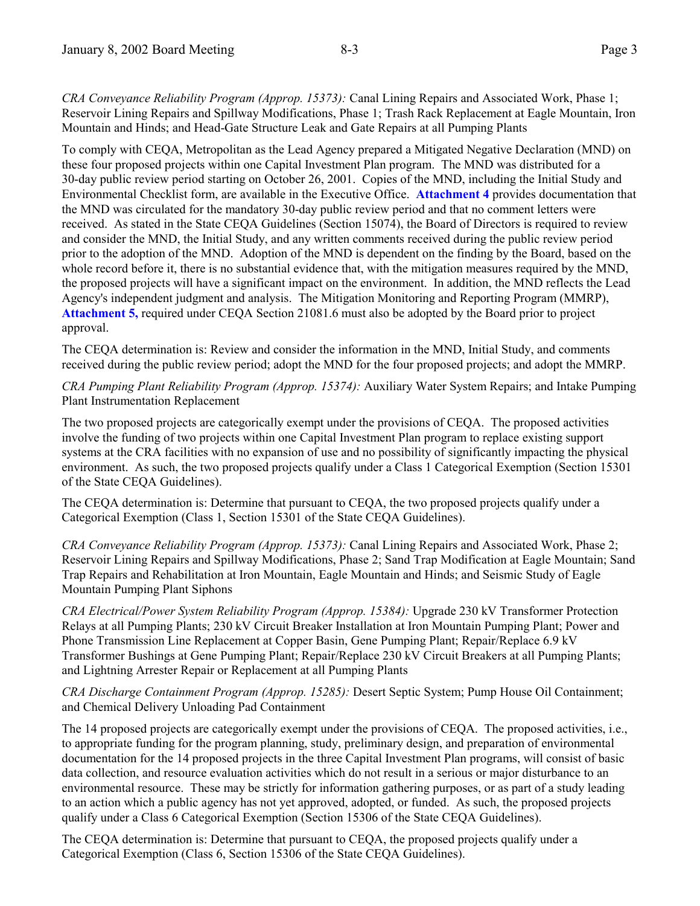*CRA Conveyance Reliability Program (Approp. 15373):* Canal Lining Repairs and Associated Work, Phase 1; Reservoir Lining Repairs and Spillway Modifications, Phase 1; Trash Rack Replacement at Eagle Mountain, Iron Mountain and Hinds; and Head-Gate Structure Leak and Gate Repairs at all Pumping Plants

To comply with CEQA, Metropolitan as the Lead Agency prepared a Mitigated Negative Declaration (MND) on these four proposed projects within one Capital Investment Plan program. The MND was distributed for a 30-day public review period starting on October 26, 2001. Copies of the MND, including the Initial Study and Environmental Checklist form, are available in the Executive Office. **Attachment 4** provides documentation that the MND was circulated for the mandatory 30-day public review period and that no comment letters were received. As stated in the State CEQA Guidelines (Section 15074), the Board of Directors is required to review and consider the MND, the Initial Study, and any written comments received during the public review period prior to the adoption of the MND. Adoption of the MND is dependent on the finding by the Board, based on the whole record before it, there is no substantial evidence that, with the mitigation measures required by the MND, the proposed projects will have a significant impact on the environment. In addition, the MND reflects the Lead Agency's independent judgment and analysis. The Mitigation Monitoring and Reporting Program (MMRP), **Attachment 5,** required under CEQA Section 21081.6 must also be adopted by the Board prior to project approval.

The CEQA determination is: Review and consider the information in the MND, Initial Study, and comments received during the public review period; adopt the MND for the four proposed projects; and adopt the MMRP.

*CRA Pumping Plant Reliability Program (Approp. 15374):* Auxiliary Water System Repairs; and Intake Pumping Plant Instrumentation Replacement

The two proposed projects are categorically exempt under the provisions of CEQA. The proposed activities involve the funding of two projects within one Capital Investment Plan program to replace existing support systems at the CRA facilities with no expansion of use and no possibility of significantly impacting the physical environment. As such, the two proposed projects qualify under a Class 1 Categorical Exemption (Section 15301 of the State CEQA Guidelines).

The CEQA determination is: Determine that pursuant to CEQA, the two proposed projects qualify under a Categorical Exemption (Class 1, Section 15301 of the State CEQA Guidelines).

*CRA Conveyance Reliability Program (Approp. 15373):* Canal Lining Repairs and Associated Work, Phase 2; Reservoir Lining Repairs and Spillway Modifications, Phase 2; Sand Trap Modification at Eagle Mountain; Sand Trap Repairs and Rehabilitation at Iron Mountain, Eagle Mountain and Hinds; and Seismic Study of Eagle Mountain Pumping Plant Siphons

*CRA Electrical/Power System Reliability Program (Approp. 15384):* Upgrade 230 kV Transformer Protection Relays at all Pumping Plants; 230 kV Circuit Breaker Installation at Iron Mountain Pumping Plant; Power and Phone Transmission Line Replacement at Copper Basin, Gene Pumping Plant; Repair/Replace 6.9 kV Transformer Bushings at Gene Pumping Plant; Repair/Replace 230 kV Circuit Breakers at all Pumping Plants; and Lightning Arrester Repair or Replacement at all Pumping Plants

*CRA Discharge Containment Program (Approp. 15285):* Desert Septic System; Pump House Oil Containment; and Chemical Delivery Unloading Pad Containment

The 14 proposed projects are categorically exempt under the provisions of CEQA. The proposed activities, i.e., to appropriate funding for the program planning, study, preliminary design, and preparation of environmental documentation for the 14 proposed projects in the three Capital Investment Plan programs, will consist of basic data collection, and resource evaluation activities which do not result in a serious or major disturbance to an environmental resource. These may be strictly for information gathering purposes, or as part of a study leading to an action which a public agency has not yet approved, adopted, or funded. As such, the proposed projects qualify under a Class 6 Categorical Exemption (Section 15306 of the State CEQA Guidelines).

The CEQA determination is: Determine that pursuant to CEQA, the proposed projects qualify under a Categorical Exemption (Class 6, Section 15306 of the State CEQA Guidelines).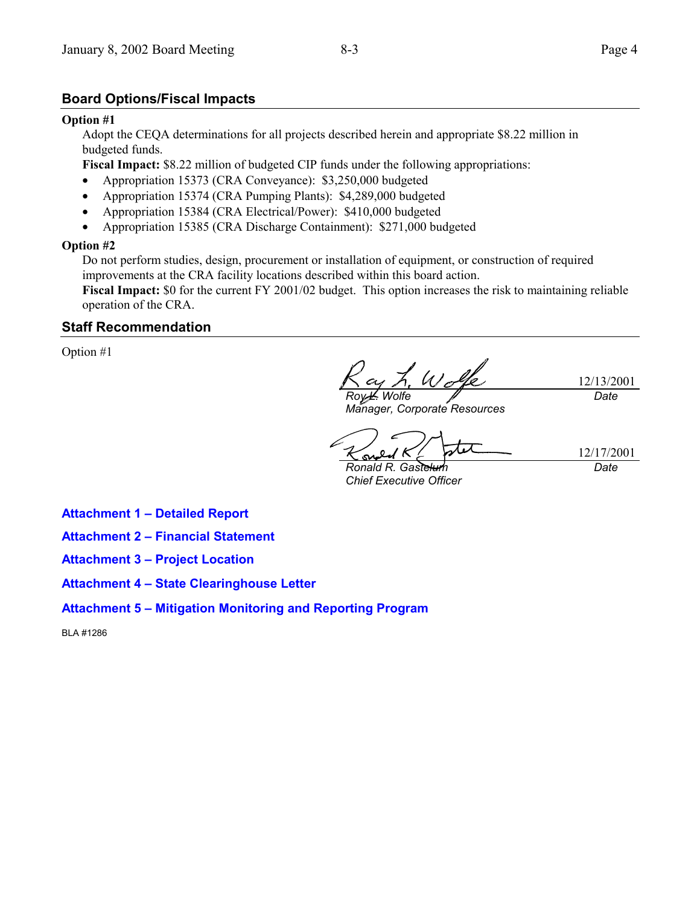#### **Board Options/Fiscal Impacts**

#### **Option #1**

Adopt the CEQA determinations for all projects described herein and appropriate \$8.22 million in budgeted funds.

**Fiscal Impact:** \$8.22 million of budgeted CIP funds under the following appropriations:

- Appropriation 15373 (CRA Conveyance): \$3,250,000 budgeted
- Appropriation 15374 (CRA Pumping Plants): \$4,289,000 budgeted
- Appropriation 15384 (CRA Electrical/Power): \$410,000 budgeted
- Appropriation 15385 (CRA Discharge Containment): \$271,000 budgeted

#### **Option #2**

Do not perform studies, design, procurement or installation of equipment, or construction of required improvements at the CRA facility locations described within this board action.

**Fiscal Impact:** \$0 for the current FY 2001/02 budget. This option increases the risk to maintaining reliable operation of the CRA.

#### **Staff Recommendation**

Option #1

 $U$ 12/13/2001 *Date Roy L. Wolfe*

*Manager, Corporate Resources*

12/17/2001 <u>ഡ</u>

*Ronald R. Gastelum Chief Executive Officer*

*Date*

**Attachment 1 - Detailed Report** 

- **Attachment 2 Financial Statement**
- **Attachment 3 Project Location**
- **Attachment 4 State Clearinghouse Letter**
- **Attachment 5 Mitigation Monitoring and Reporting Program**

BLA #1286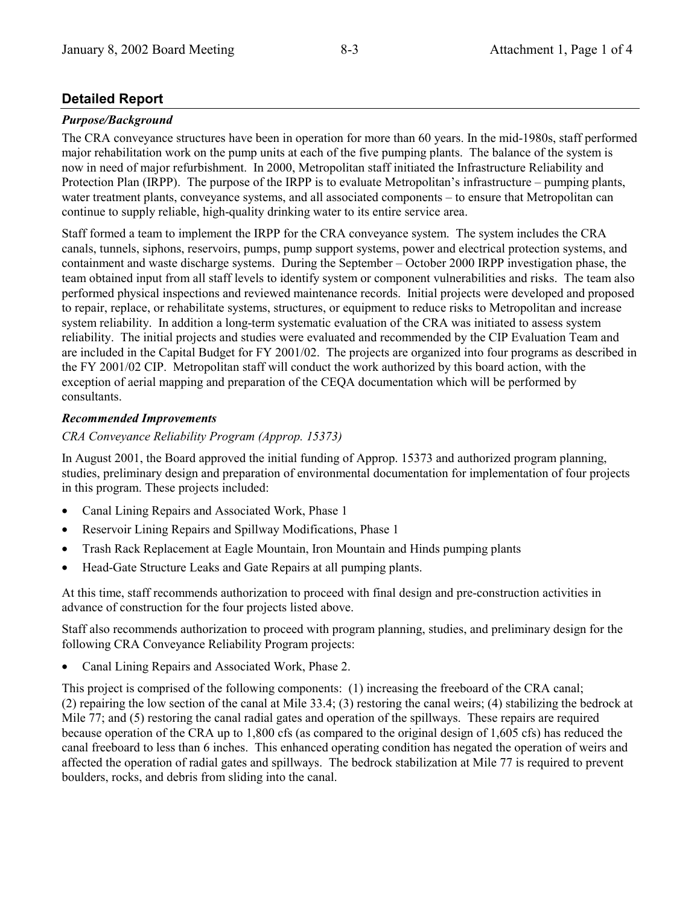## **Detailed Report**

#### *Purpose/Background*

The CRA conveyance structures have been in operation for more than 60 years. In the mid-1980s, staff performed major rehabilitation work on the pump units at each of the five pumping plants. The balance of the system is now in need of major refurbishment. In 2000, Metropolitan staff initiated the Infrastructure Reliability and Protection Plan (IRPP). The purpose of the IRPP is to evaluate Metropolitan's infrastructure  $-$  pumping plants, water treatment plants, conveyance systems, and all associated components – to ensure that Metropolitan can continue to supply reliable, high-quality drinking water to its entire service area.

Staff formed a team to implement the IRPP for the CRA conveyance system. The system includes the CRA canals, tunnels, siphons, reservoirs, pumps, pump support systems, power and electrical protection systems, and containment and waste discharge systems. During the September – October 2000 IRPP investigation phase, the team obtained input from all staff levels to identify system or component vulnerabilities and risks. The team also performed physical inspections and reviewed maintenance records. Initial projects were developed and proposed to repair, replace, or rehabilitate systems, structures, or equipment to reduce risks to Metropolitan and increase system reliability. In addition a long-term systematic evaluation of the CRA was initiated to assess system reliability. The initial projects and studies were evaluated and recommended by the CIP Evaluation Team and are included in the Capital Budget for FY 2001/02. The projects are organized into four programs as described in the FY 2001/02 CIP. Metropolitan staff will conduct the work authorized by this board action, with the exception of aerial mapping and preparation of the CEQA documentation which will be performed by consultants.

#### *Recommended Improvements*

*CRA Conveyance Reliability Program (Approp. 15373)*

In August 2001, the Board approved the initial funding of Approp. 15373 and authorized program planning, studies, preliminary design and preparation of environmental documentation for implementation of four projects in this program. These projects included:

- Canal Lining Repairs and Associated Work, Phase 1
- Reservoir Lining Repairs and Spillway Modifications, Phase 1
- Trash Rack Replacement at Eagle Mountain, Iron Mountain and Hinds pumping plants
- Head-Gate Structure Leaks and Gate Repairs at all pumping plants.

At this time, staff recommends authorization to proceed with final design and pre-construction activities in advance of construction for the four projects listed above.

Staff also recommends authorization to proceed with program planning, studies, and preliminary design for the following CRA Conveyance Reliability Program projects:

• Canal Lining Repairs and Associated Work, Phase 2.

This project is comprised of the following components: (1) increasing the freeboard of the CRA canal; (2) repairing the low section of the canal at Mile 33.4; (3) restoring the canal weirs; (4) stabilizing the bedrock at Mile 77; and (5) restoring the canal radial gates and operation of the spillways. These repairs are required because operation of the CRA up to 1,800 cfs (as compared to the original design of 1,605 cfs) has reduced the canal freeboard to less than 6 inches. This enhanced operating condition has negated the operation of weirs and affected the operation of radial gates and spillways. The bedrock stabilization at Mile 77 is required to prevent boulders, rocks, and debris from sliding into the canal.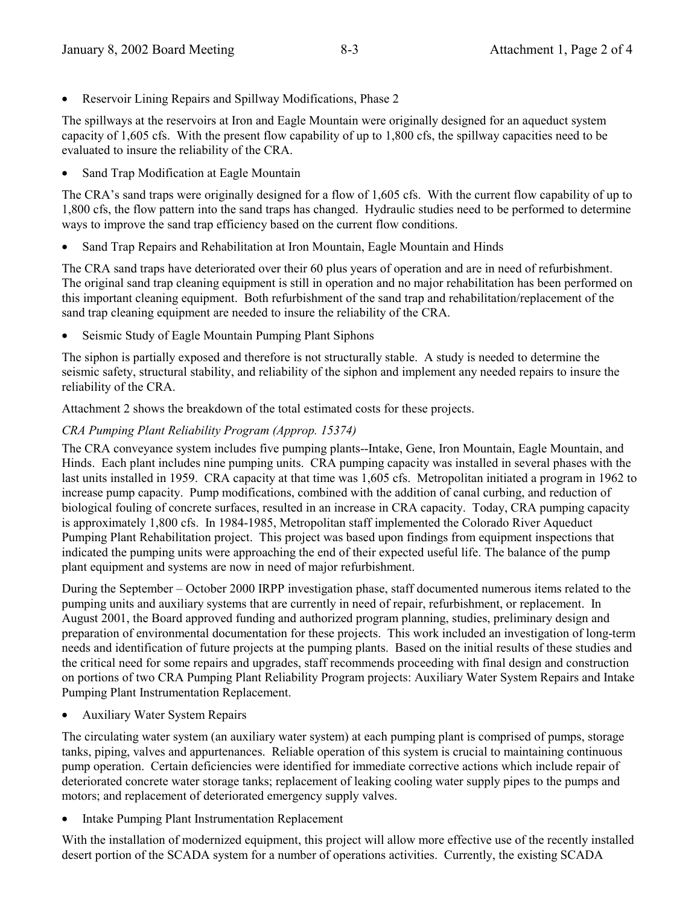• Reservoir Lining Repairs and Spillway Modifications, Phase 2

The spillways at the reservoirs at Iron and Eagle Mountain were originally designed for an aqueduct system capacity of 1,605 cfs. With the present flow capability of up to 1,800 cfs, the spillway capacities need to be evaluated to insure the reliability of the CRA.

• Sand Trap Modification at Eagle Mountain

The CRA's sand traps were originally designed for a flow of 1,605 cfs. With the current flow capability of up to 1,800 cfs, the flow pattern into the sand traps has changed. Hydraulic studies need to be performed to determine ways to improve the sand trap efficiency based on the current flow conditions.

• Sand Trap Repairs and Rehabilitation at Iron Mountain, Eagle Mountain and Hinds

The CRA sand traps have deteriorated over their 60 plus years of operation and are in need of refurbishment. The original sand trap cleaning equipment is still in operation and no major rehabilitation has been performed on this important cleaning equipment. Both refurbishment of the sand trap and rehabilitation/replacement of the sand trap cleaning equipment are needed to insure the reliability of the CRA.

• Seismic Study of Eagle Mountain Pumping Plant Siphons

The siphon is partially exposed and therefore is not structurally stable. A study is needed to determine the seismic safety, structural stability, and reliability of the siphon and implement any needed repairs to insure the reliability of the CRA.

Attachment 2 shows the breakdown of the total estimated costs for these projects.

#### *CRA Pumping Plant Reliability Program (Approp. 15374)*

The CRA conveyance system includes five pumping plants--Intake, Gene, Iron Mountain, Eagle Mountain, and Hinds. Each plant includes nine pumping units. CRA pumping capacity was installed in several phases with the last units installed in 1959. CRA capacity at that time was 1,605 cfs. Metropolitan initiated a program in 1962 to increase pump capacity. Pump modifications, combined with the addition of canal curbing, and reduction of biological fouling of concrete surfaces, resulted in an increase in CRA capacity. Today, CRA pumping capacity is approximately 1,800 cfs. In 1984-1985, Metropolitan staff implemented the Colorado River Aqueduct Pumping Plant Rehabilitation project. This project was based upon findings from equipment inspections that indicated the pumping units were approaching the end of their expected useful life. The balance of the pump plant equipment and systems are now in need of major refurbishment.

During the September – October 2000 IRPP investigation phase, staff documented numerous items related to the pumping units and auxiliary systems that are currently in need of repair, refurbishment, or replacement. In August 2001, the Board approved funding and authorized program planning, studies, preliminary design and preparation of environmental documentation for these projects. This work included an investigation of long-term needs and identification of future projects at the pumping plants. Based on the initial results of these studies and the critical need for some repairs and upgrades, staff recommends proceeding with final design and construction on portions of two CRA Pumping Plant Reliability Program projects: Auxiliary Water System Repairs and Intake Pumping Plant Instrumentation Replacement.

• Auxiliary Water System Repairs

The circulating water system (an auxiliary water system) at each pumping plant is comprised of pumps, storage tanks, piping, valves and appurtenances. Reliable operation of this system is crucial to maintaining continuous pump operation. Certain deficiencies were identified for immediate corrective actions which include repair of deteriorated concrete water storage tanks; replacement of leaking cooling water supply pipes to the pumps and motors; and replacement of deteriorated emergency supply valves.

• Intake Pumping Plant Instrumentation Replacement

With the installation of modernized equipment, this project will allow more effective use of the recently installed desert portion of the SCADA system for a number of operations activities. Currently, the existing SCADA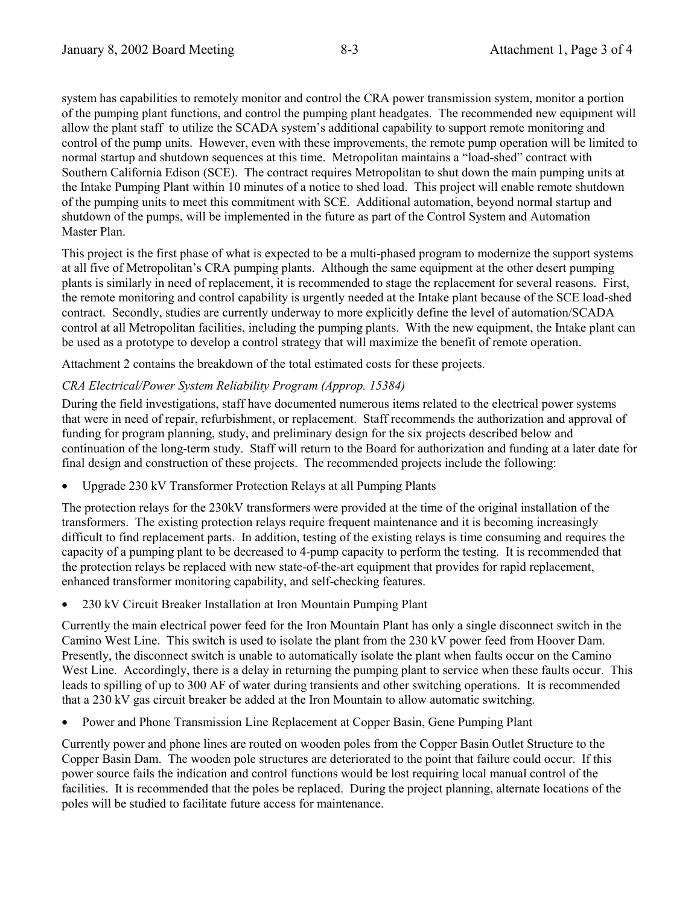system has capabilities to remotely monitor and control the CRA power transmission system, monitor a portion of the pumping plant functions, and control the pumping plant headgates. The recommended new equipment will allow the plant staff to utilize the SCADA system's additional capability to support remote monitoring and control of the pump units. However, even with these improvements, the remote pump operation will be limited to normal startup and shutdown sequences at this time. Metropolitan maintains a "load-shed" contract with Southern California Edison (SCE). The contract requires Metropolitan to shut down the main pumping units at the Intake Pumping Plant within 10 minutes of a notice to shed load. This project will enable remote shutdown of the pumping units to meet this commitment with SCE. Additional automation, beyond normal startup and shutdown of the pumps, will be implemented in the future as part of the Control System and Automation Master Plan.

This project is the first phase of what is expected to be a multi-phased program to modernize the support systems at all five of Metropolitanís CRA pumping plants. Although the same equipment at the other desert pumping plants is similarly in need of replacement, it is recommended to stage the replacement for several reasons. First, the remote monitoring and control capability is urgently needed at the Intake plant because of the SCE load-shed contract. Secondly, studies are currently underway to more explicitly define the level of automation/SCADA control at all Metropolitan facilities, including the pumping plants. With the new equipment, the Intake plant can be used as a prototype to develop a control strategy that will maximize the benefit of remote operation.

Attachment 2 contains the breakdown of the total estimated costs for these projects.

#### *CRA Electrical/Power System Reliability Program (Approp. 15384)*

During the field investigations, staff have documented numerous items related to the electrical power systems that were in need of repair, refurbishment, or replacement. Staff recommends the authorization and approval of funding for program planning, study, and preliminary design for the six projects described below and continuation of the long-term study. Staff will return to the Board for authorization and funding at a later date for final design and construction of these projects. The recommended projects include the following:

• Upgrade 230 kV Transformer Protection Relays at all Pumping Plants

The protection relays for the 230kV transformers were provided at the time of the original installation of the transformers. The existing protection relays require frequent maintenance and it is becoming increasingly difficult to find replacement parts. In addition, testing of the existing relays is time consuming and requires the capacity of a pumping plant to be decreased to 4-pump capacity to perform the testing. It is recommended that the protection relays be replaced with new state-of-the-art equipment that provides for rapid replacement, enhanced transformer monitoring capability, and self-checking features.

• 230 kV Circuit Breaker Installation at Iron Mountain Pumping Plant

Currently the main electrical power feed for the Iron Mountain Plant has only a single disconnect switch in the Camino West Line. This switch is used to isolate the plant from the 230 kV power feed from Hoover Dam. Presently, the disconnect switch is unable to automatically isolate the plant when faults occur on the Camino West Line. Accordingly, there is a delay in returning the pumping plant to service when these faults occur. This leads to spilling of up to 300 AF of water during transients and other switching operations. It is recommended that a 230 kV gas circuit breaker be added at the Iron Mountain to allow automatic switching.

• Power and Phone Transmission Line Replacement at Copper Basin, Gene Pumping Plant

Currently power and phone lines are routed on wooden poles from the Copper Basin Outlet Structure to the Copper Basin Dam. The wooden pole structures are deteriorated to the point that failure could occur. If this power source fails the indication and control functions would be lost requiring local manual control of the facilities. It is recommended that the poles be replaced. During the project planning, alternate locations of the poles will be studied to facilitate future access for maintenance.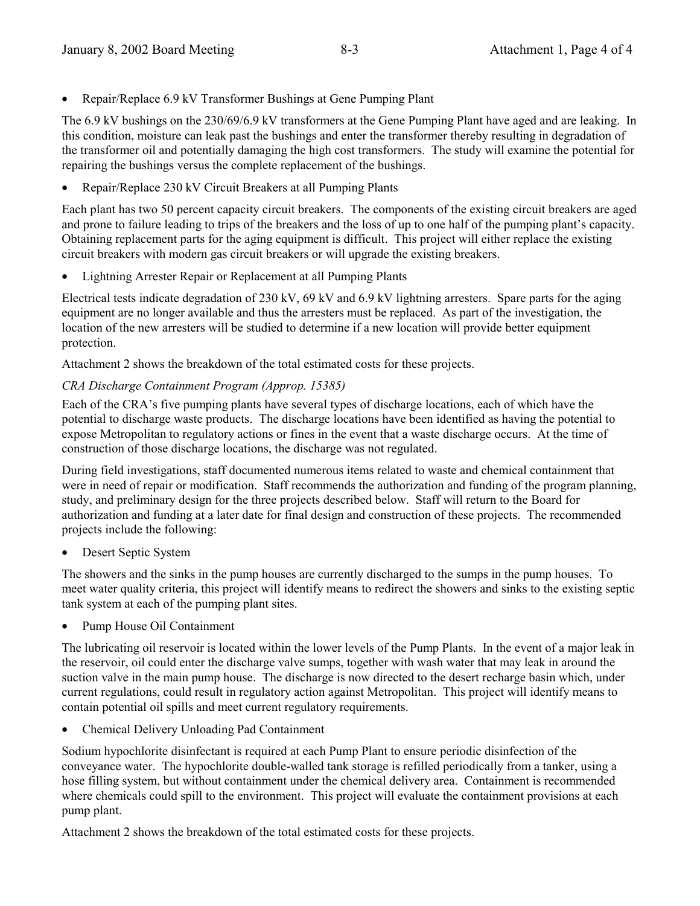• Repair/Replace 6.9 kV Transformer Bushings at Gene Pumping Plant

The 6.9 kV bushings on the 230/69/6.9 kV transformers at the Gene Pumping Plant have aged and are leaking. In this condition, moisture can leak past the bushings and enter the transformer thereby resulting in degradation of the transformer oil and potentially damaging the high cost transformers. The study will examine the potential for repairing the bushings versus the complete replacement of the bushings.

• Repair/Replace 230 kV Circuit Breakers at all Pumping Plants

Each plant has two 50 percent capacity circuit breakers. The components of the existing circuit breakers are aged and prone to failure leading to trips of the breakers and the loss of up to one half of the pumping plant's capacity. Obtaining replacement parts for the aging equipment is difficult. This project will either replace the existing circuit breakers with modern gas circuit breakers or will upgrade the existing breakers.

• Lightning Arrester Repair or Replacement at all Pumping Plants

Electrical tests indicate degradation of 230 kV, 69 kV and 6.9 kV lightning arresters. Spare parts for the aging equipment are no longer available and thus the arresters must be replaced. As part of the investigation, the location of the new arresters will be studied to determine if a new location will provide better equipment protection.

Attachment 2 shows the breakdown of the total estimated costs for these projects.

#### *CRA Discharge Containment Program (Approp. 15385)*

Each of the CRA's five pumping plants have several types of discharge locations, each of which have the potential to discharge waste products. The discharge locations have been identified as having the potential to expose Metropolitan to regulatory actions or fines in the event that a waste discharge occurs. At the time of construction of those discharge locations, the discharge was not regulated.

During field investigations, staff documented numerous items related to waste and chemical containment that were in need of repair or modification. Staff recommends the authorization and funding of the program planning, study, and preliminary design for the three projects described below. Staff will return to the Board for authorization and funding at a later date for final design and construction of these projects. The recommended projects include the following:

Desert Septic System

The showers and the sinks in the pump houses are currently discharged to the sumps in the pump houses. To meet water quality criteria, this project will identify means to redirect the showers and sinks to the existing septic tank system at each of the pumping plant sites.

• Pump House Oil Containment

The lubricating oil reservoir is located within the lower levels of the Pump Plants. In the event of a major leak in the reservoir, oil could enter the discharge valve sumps, together with wash water that may leak in around the suction valve in the main pump house. The discharge is now directed to the desert recharge basin which, under current regulations, could result in regulatory action against Metropolitan. This project will identify means to contain potential oil spills and meet current regulatory requirements.

• Chemical Delivery Unloading Pad Containment

Sodium hypochlorite disinfectant is required at each Pump Plant to ensure periodic disinfection of the conveyance water. The hypochlorite double-walled tank storage is refilled periodically from a tanker, using a hose filling system, but without containment under the chemical delivery area. Containment is recommended where chemicals could spill to the environment. This project will evaluate the containment provisions at each pump plant.

Attachment 2 shows the breakdown of the total estimated costs for these projects.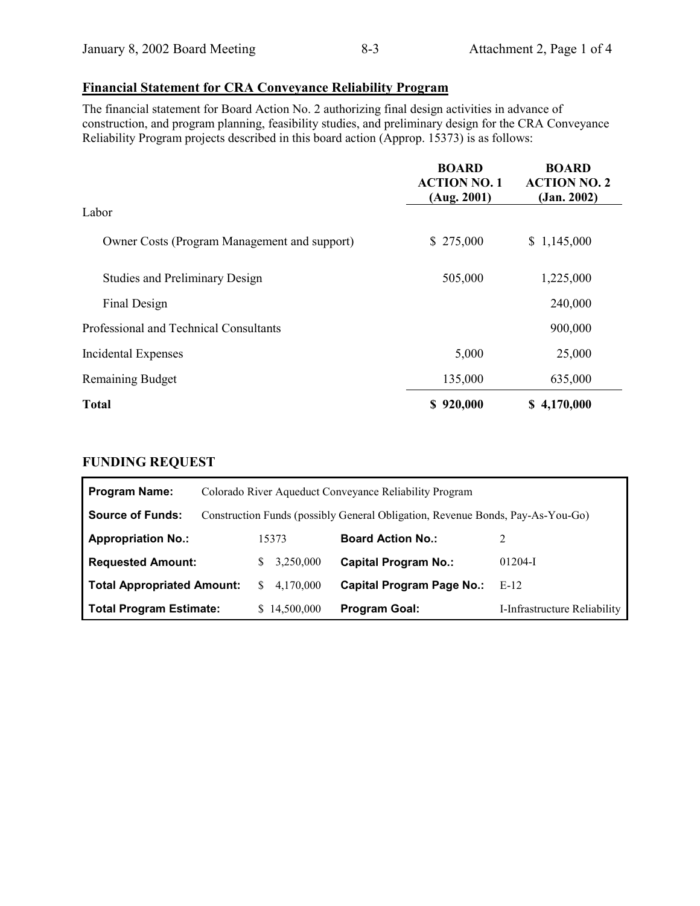# **Financial Statement for CRA Conveyance Reliability Program**

The financial statement for Board Action No. 2 authorizing final design activities in advance of construction, and program planning, feasibility studies, and preliminary design for the CRA Conveyance Reliability Program projects described in this board action (Approp. 15373) is as follows:

|                                              | <b>BOARD</b><br><b>ACTION NO. 1</b><br>(Aug. 2001) | <b>BOARD</b><br><b>ACTION NO. 2</b><br>(Jan. 2002) |
|----------------------------------------------|----------------------------------------------------|----------------------------------------------------|
| Labor                                        |                                                    |                                                    |
| Owner Costs (Program Management and support) | \$275,000                                          | \$1,145,000                                        |
| <b>Studies and Preliminary Design</b>        | 505,000                                            | 1,225,000                                          |
| Final Design                                 |                                                    | 240,000                                            |
| Professional and Technical Consultants       |                                                    | 900,000                                            |
| Incidental Expenses                          | 5,000                                              | 25,000                                             |
| <b>Remaining Budget</b>                      | 135,000                                            | 635,000                                            |
| <b>Total</b>                                 | \$920,000                                          | \$4,170,000                                        |

## **FUNDING REQUEST**

| <b>Program Name:</b>              |                  | Colorado River Aqueduct Conveyance Reliability Program                         |                              |
|-----------------------------------|------------------|--------------------------------------------------------------------------------|------------------------------|
| <b>Source of Funds:</b>           |                  | Construction Funds (possibly General Obligation, Revenue Bonds, Pay-As-You-Go) |                              |
| <b>Appropriation No.:</b>         | 15373            | <b>Board Action No.:</b>                                                       |                              |
| <b>Requested Amount:</b>          | 3,250,000        | <b>Capital Program No.:</b>                                                    | $01204-I$                    |
| <b>Total Appropriated Amount:</b> | 4,170,000<br>\$. | <b>Capital Program Page No.:</b>                                               | E-12                         |
| <b>Total Program Estimate:</b>    | 14,500,000       | <b>Program Goal:</b>                                                           | I-Infrastructure Reliability |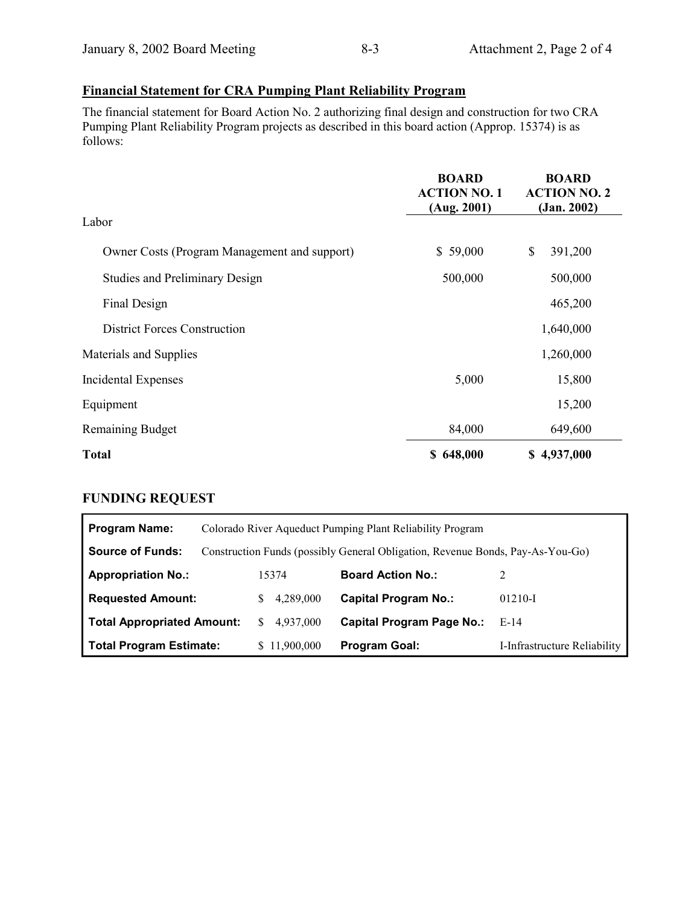# **Financial Statement for CRA Pumping Plant Reliability Program**

The financial statement for Board Action No. 2 authorizing final design and construction for two CRA Pumping Plant Reliability Program projects as described in this board action (Approp. 15374) is as follows:

|                                              | <b>BOARD</b><br><b>ACTION NO. 1</b><br>(Aug. 2001) | <b>BOARD</b><br><b>ACTION NO. 2</b><br>(Jan. 2002) |
|----------------------------------------------|----------------------------------------------------|----------------------------------------------------|
| Labor                                        |                                                    |                                                    |
| Owner Costs (Program Management and support) | \$59,000                                           | $\boldsymbol{\mathsf{S}}$<br>391,200               |
| <b>Studies and Preliminary Design</b>        | 500,000                                            | 500,000                                            |
| Final Design                                 |                                                    | 465,200                                            |
| <b>District Forces Construction</b>          |                                                    | 1,640,000                                          |
| Materials and Supplies                       |                                                    | 1,260,000                                          |
| Incidental Expenses                          | 5,000                                              | 15,800                                             |
| Equipment                                    |                                                    | 15,200                                             |
| <b>Remaining Budget</b>                      | 84,000                                             | 649,600                                            |
| <b>Total</b>                                 | \$648,000                                          | \$4,937,000                                        |

## **FUNDING REQUEST**

| <b>Program Name:</b>              |                  | Colorado River Aqueduct Pumping Plant Reliability Program                      |                              |
|-----------------------------------|------------------|--------------------------------------------------------------------------------|------------------------------|
| <b>Source of Funds:</b>           |                  | Construction Funds (possibly General Obligation, Revenue Bonds, Pay-As-You-Go) |                              |
| <b>Appropriation No.:</b>         | 15374            | <b>Board Action No.:</b>                                                       |                              |
| <b>Requested Amount:</b>          | 4,289,000<br>S.  | <b>Capital Program No.:</b>                                                    | $01210-I$                    |
| <b>Total Appropriated Amount:</b> | 4,937,000<br>\$. | <b>Capital Program Page No.:</b>                                               | E-14                         |
| <b>Total Program Estimate:</b>    | \$11,900,000     | <b>Program Goal:</b>                                                           | I-Infrastructure Reliability |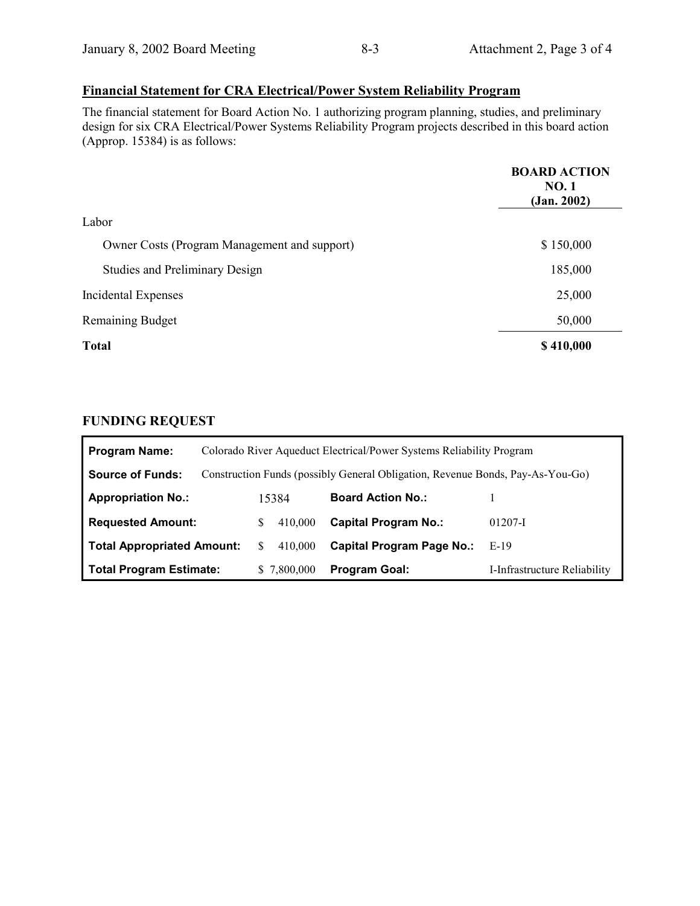# **Financial Statement for CRA Electrical/Power System Reliability Program**

The financial statement for Board Action No. 1 authorizing program planning, studies, and preliminary design for six CRA Electrical/Power Systems Reliability Program projects described in this board action (Approp. 15384) is as follows:

|                                              | <b>BOARD ACTION</b><br><b>NO.1</b><br>(Jan. 2002) |
|----------------------------------------------|---------------------------------------------------|
| Labor                                        |                                                   |
| Owner Costs (Program Management and support) | \$150,000                                         |
| <b>Studies and Preliminary Design</b>        | 185,000                                           |
| Incidental Expenses                          | 25,000                                            |
| <b>Remaining Budget</b>                      | 50,000                                            |
| <b>Total</b>                                 | \$410,000                                         |

## **FUNDING REQUEST**

| <b>Program Name:</b>              |               | Colorado River Aqueduct Electrical/Power Systems Reliability Program           |                              |
|-----------------------------------|---------------|--------------------------------------------------------------------------------|------------------------------|
| <b>Source of Funds:</b>           |               | Construction Funds (possibly General Obligation, Revenue Bonds, Pay-As-You-Go) |                              |
| <b>Appropriation No.:</b>         | 15384         | <b>Board Action No.:</b>                                                       |                              |
| <b>Requested Amount:</b>          | 410,000<br>S  | <b>Capital Program No.:</b>                                                    | $01207 - I$                  |
| <b>Total Appropriated Amount:</b> | 410,000<br>S. | <b>Capital Program Page No.:</b>                                               | $E-19$                       |
| <b>Total Program Estimate:</b>    | \$7,800,000   | <b>Program Goal:</b>                                                           | I-Infrastructure Reliability |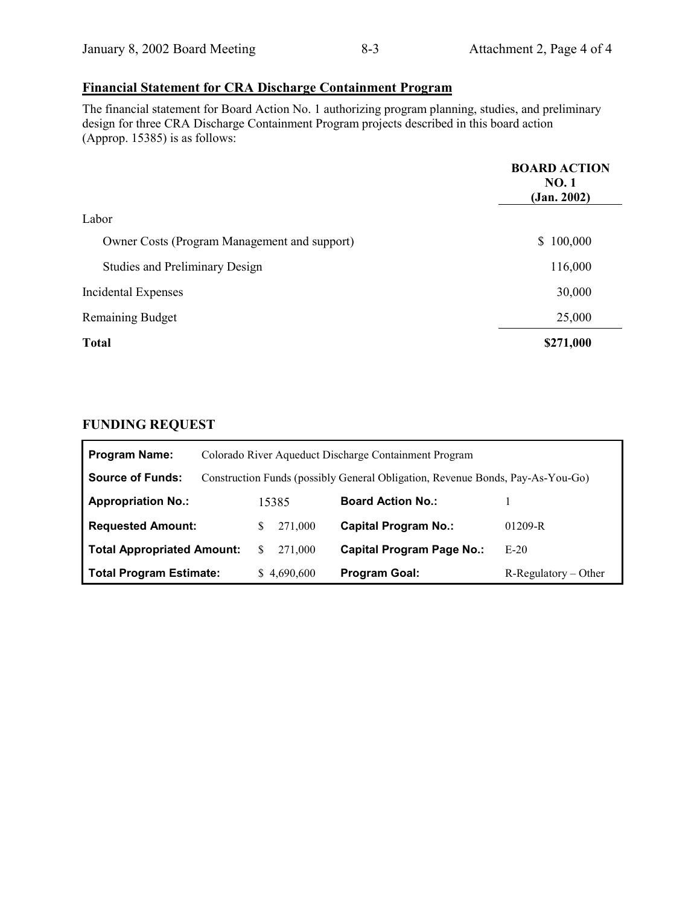# **Financial Statement for CRA Discharge Containment Program**

The financial statement for Board Action No. 1 authorizing program planning, studies, and preliminary design for three CRA Discharge Containment Program projects described in this board action (Approp. 15385) is as follows:

|                                              | <b>BOARD ACTION</b><br><b>NO.1</b><br>(Jan. 2002) |
|----------------------------------------------|---------------------------------------------------|
| Labor                                        |                                                   |
| Owner Costs (Program Management and support) | \$100,000                                         |
| <b>Studies and Preliminary Design</b>        | 116,000                                           |
| Incidental Expenses                          | 30,000                                            |
| <b>Remaining Budget</b>                      | 25,000                                            |
| <b>Total</b>                                 | \$271,000                                         |

# **FUNDING REQUEST**

Ē

| <b>Program Name:</b>              |   |             | Colorado River Aqueduct Discharge Containment Program                          |                         |
|-----------------------------------|---|-------------|--------------------------------------------------------------------------------|-------------------------|
| <b>Source of Funds:</b>           |   |             | Construction Funds (possibly General Obligation, Revenue Bonds, Pay-As-You-Go) |                         |
| <b>Appropriation No.:</b>         |   | 15385       | <b>Board Action No.:</b>                                                       |                         |
| <b>Requested Amount:</b>          | S | 271.000     | <b>Capital Program No.:</b>                                                    | $01209 - R$             |
| <b>Total Appropriated Amount:</b> |   | 271.000     | <b>Capital Program Page No.:</b>                                               | $E-20$                  |
| <b>Total Program Estimate:</b>    |   | \$4,690,600 | <b>Program Goal:</b>                                                           | $R$ -Regulatory – Other |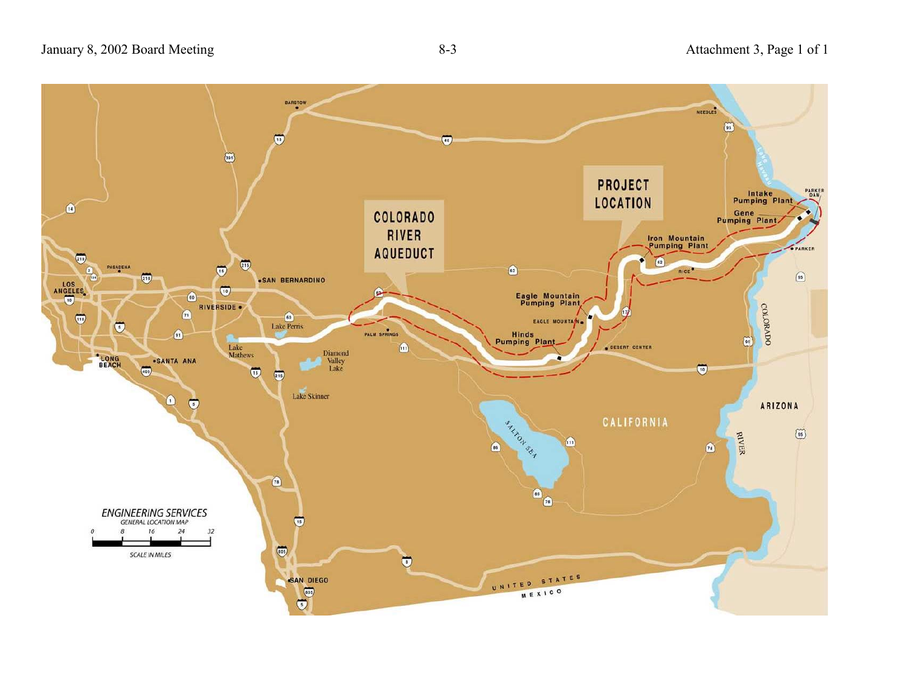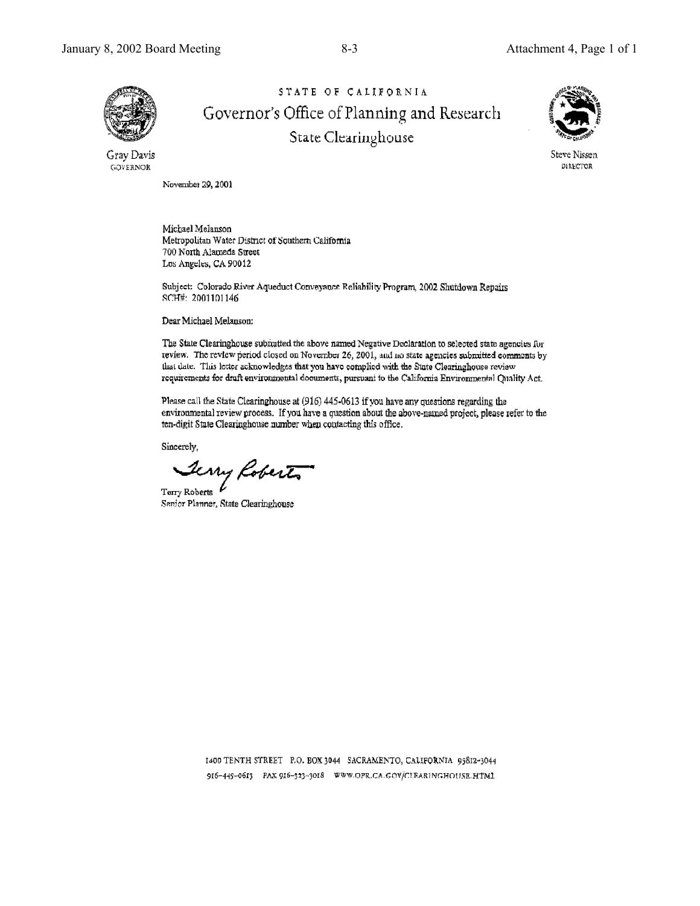

STATE OF CALIFORNIA Governor's Office of Planning and Research State Clearinghouse



Steve Nissen DIRECTOR

Gray Davis GOVERNOR

November 29, 2001

Michael Melanson Metropolitan Water District of Southern California 700 North Alameda Street Los Angeles, CA 90012

Subject: Colorado River Aqueduct Conveyance Reliability Program, 2002 Shutdown Repairs SCH#: 2001101146

Dear Michael Melanson:

The State Clearinghouse submutted the above named Negative Declaration to selected state agencies for review. The review period closed on November 26, 2001, and no state agencies submitted comments by that date. This letter acknowledges that you have complied with the State Clearinghouse review requirements for draft environmental documents, pursuant to the California Environmental Quality Act.

Please call the State Clearinghouse at (916) 445-0613 if you have any questions regarding the environmental review process. If you have a question about the above-named project, please refer to the ten-digit State Clearinghouse number when contacting this office.

Sincerely,

Terry Roberts

 $_{\rm{Term\;Roberts}}$   $^{\prime}$ Senior Planner, State Clearinghouse

1400 TENTH STREET P.O. BOX 3044 SACRAMENTO, CALIFORNIA 95812-3044 916-445-0613 PAX 916-323-3018 WWW.OPR.CA.GOV/CIEARINGHOUSE.HTML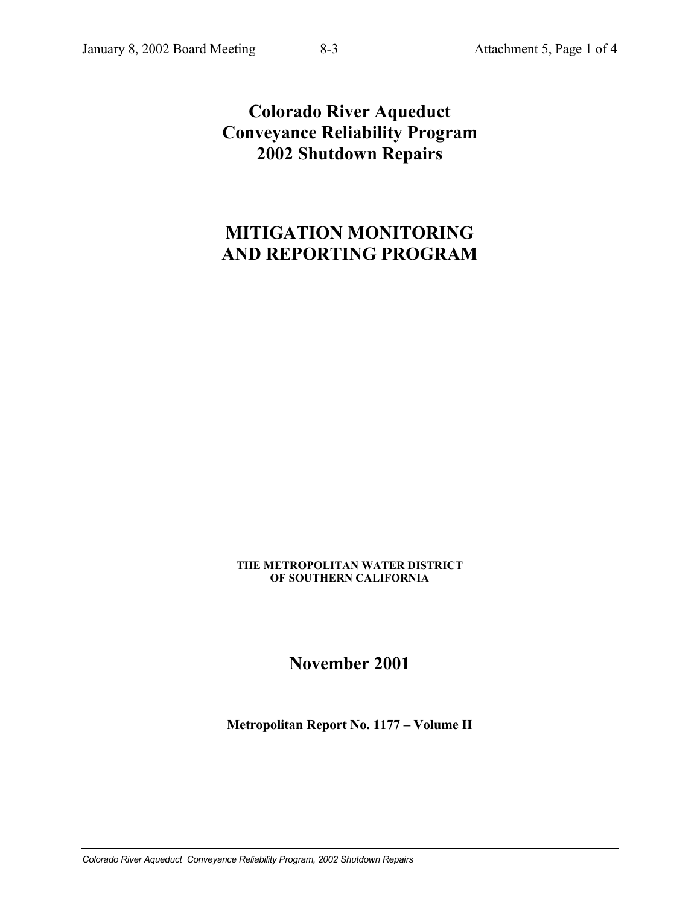# **Colorado River Aqueduct Conveyance Reliability Program 2002 Shutdown Repairs**

# **MITIGATION MONITORING AND REPORTING PROGRAM**

**THE METROPOLITAN WATER DISTRICT OF SOUTHERN CALIFORNIA**

**November 2001**

**Metropolitan Report No. 1177 – Volume II**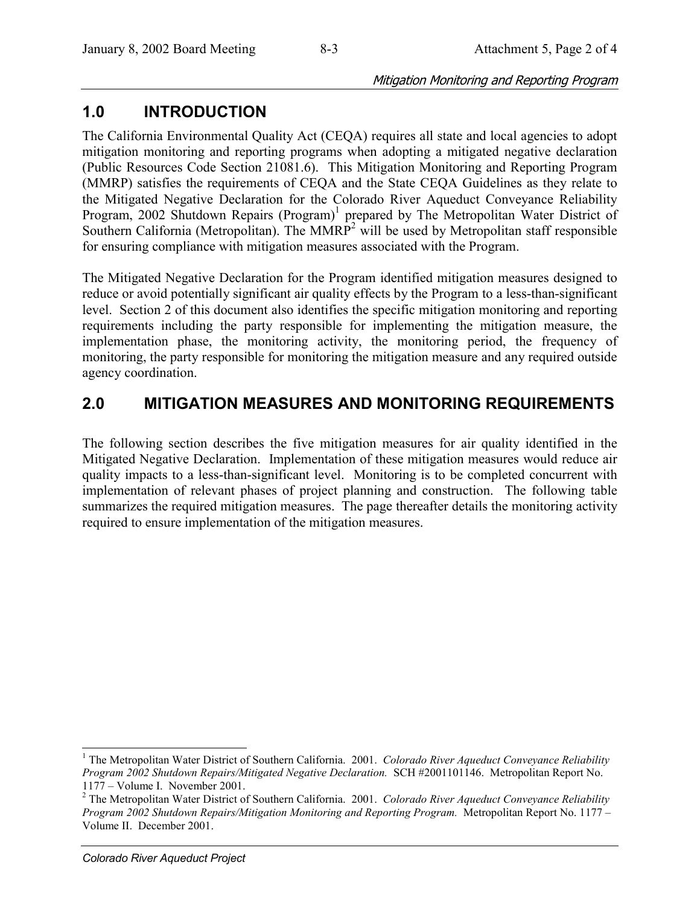#### Mitigation Monitoring and Reporting Program

# **1.0 INTRODUCTION**

The California Environmental Quality Act (CEQA) requires all state and local agencies to adopt mitigation monitoring and reporting programs when adopting a mitigated negative declaration (Public Resources Code Section 21081.6). This Mitigation Monitoring and Reporting Program (MMRP) satisfies the requirements of CEQA and the State CEQA Guidelines as they relate to the Mitigated Negative Declaration for the Colorado River Aqueduct Conveyance Reliability Program, 2002 Shutdown Repairs (Program)<sup>1</sup> prepared by The Metropolitan Water District of Southern California (Metropolitan). The  $MMRP<sup>2</sup>$  will be used by Metropolitan staff responsible for ensuring compliance with mitigation measures associated with the Program.

The Mitigated Negative Declaration for the Program identified mitigation measures designed to reduce or avoid potentially significant air quality effects by the Program to a less-than-significant level. Section 2 of this document also identifies the specific mitigation monitoring and reporting requirements including the party responsible for implementing the mitigation measure, the implementation phase, the monitoring activity, the monitoring period, the frequency of monitoring, the party responsible for monitoring the mitigation measure and any required outside agency coordination.

# **2.0 MITIGATION MEASURES AND MONITORING REQUIREMENTS**

The following section describes the five mitigation measures for air quality identified in the Mitigated Negative Declaration. Implementation of these mitigation measures would reduce air quality impacts to a less-than-significant level. Monitoring is to be completed concurrent with implementation of relevant phases of project planning and construction. The following table summarizes the required mitigation measures. The page thereafter details the monitoring activity required to ensure implementation of the mitigation measures.

 $\overline{a}$ 

<sup>&</sup>lt;sup>1</sup> The Metropolitan Water District of Southern California. 2001. *Colorado River Aqueduct Conveyance Reliability Program 2002 Shutdown Repairs/Mitigated Negative Declaration.* SCH #2001101146. Metropolitan Report No.  $1177 - Volume I$ . November 2001.

<sup>2</sup> The Metropolitan Water District of Southern California. 2001. *Colorado River Aqueduct Conveyance Reliability Program 2002 Shutdown Repairs/Mitigation Monitoring and Reporting Program.* Metropolitan Report No. 1177 – Volume II. December 2001.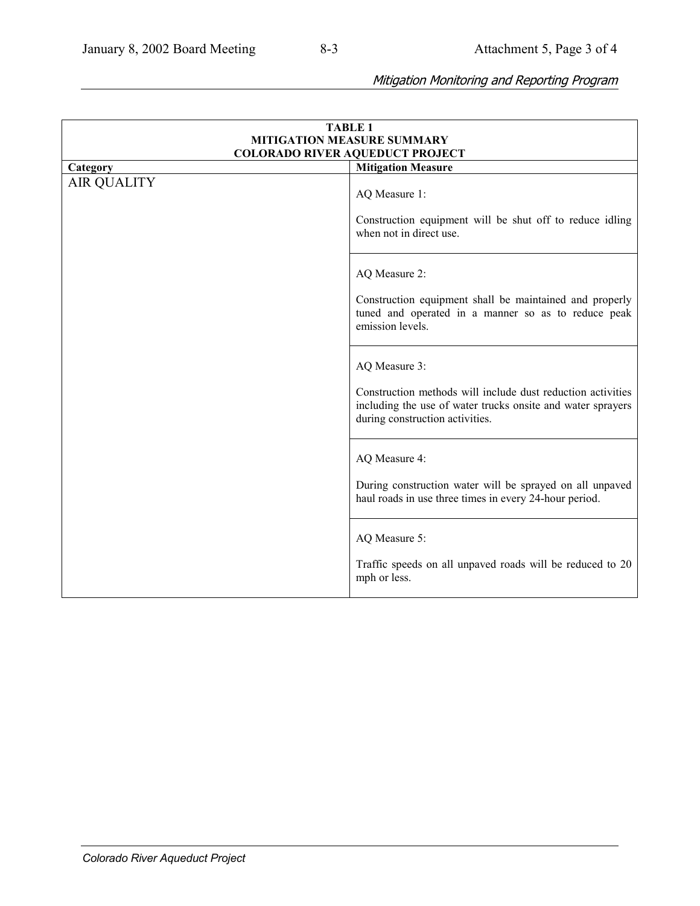# Mitigation Monitoring and Reporting Program

|                    | <b>TABLE 1</b>                                                                                                                                                                 |
|--------------------|--------------------------------------------------------------------------------------------------------------------------------------------------------------------------------|
|                    | <b>MITIGATION MEASURE SUMMARY</b>                                                                                                                                              |
|                    | <b>COLORADO RIVER AQUEDUCT PROJECT</b>                                                                                                                                         |
| Category           | <b>Mitigation Measure</b>                                                                                                                                                      |
| <b>AIR QUALITY</b> | AQ Measure 1:<br>Construction equipment will be shut off to reduce idling<br>when not in direct use.                                                                           |
|                    | AQ Measure 2:<br>Construction equipment shall be maintained and properly<br>tuned and operated in a manner so as to reduce peak<br>emission levels.                            |
|                    | AQ Measure 3:<br>Construction methods will include dust reduction activities<br>including the use of water trucks onsite and water sprayers<br>during construction activities. |
|                    | AQ Measure 4:<br>During construction water will be sprayed on all unpaved<br>haul roads in use three times in every 24-hour period.                                            |
|                    | AQ Measure 5:<br>Traffic speeds on all unpaved roads will be reduced to 20<br>mph or less.                                                                                     |